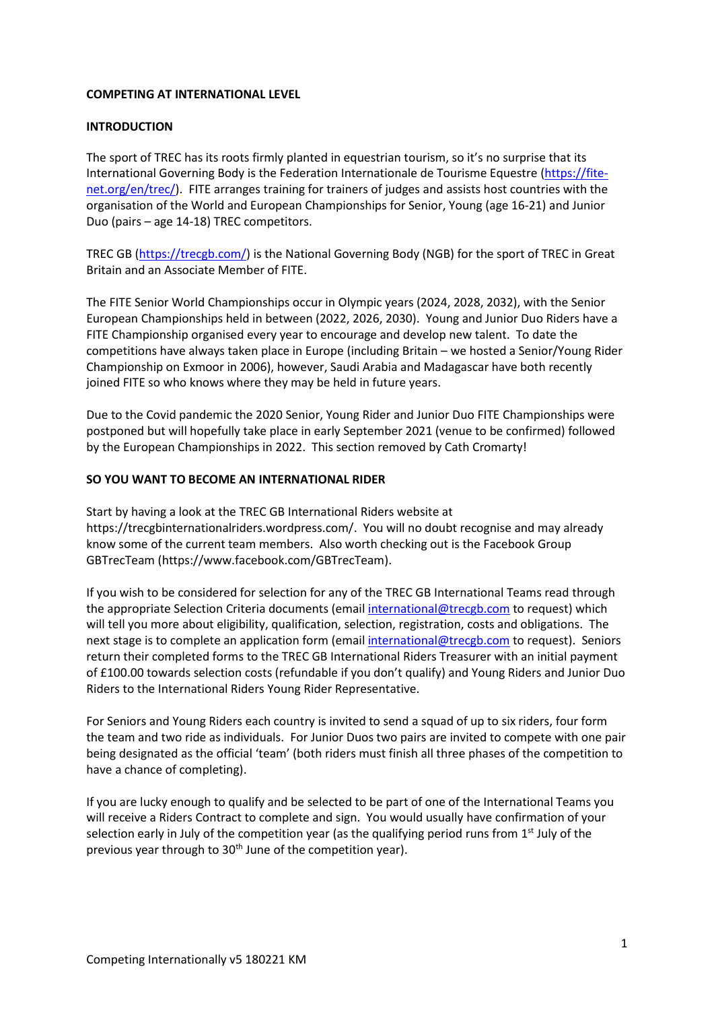#### **COMPETING AT INTERNATIONAL LEVEL**

#### **INTRODUCTION**

The sport of TREC has its roots firmly planted in equestrian tourism, so it's no surprise that its International Governing Body is the Federation Internationale de Tourisme Equestre [\(https://fite](https://fite-net.org/en/trec/)[net.org/en/trec/\)](https://fite-net.org/en/trec/). FITE arranges training for trainers of judges and assists host countries with the organisation of the World and European Championships for Senior, Young (age 16-21) and Junior Duo (pairs – age 14-18) TREC competitors.

TREC GB [\(https://trecgb.com/\)](https://trecgb.com/) is the National Governing Body (NGB) for the sport of TREC in Great Britain and an Associate Member of FITE.

The FITE Senior World Championships occur in Olympic years (2024, 2028, 2032), with the Senior European Championships held in between (2022, 2026, 2030). Young and Junior Duo Riders have a FITE Championship organised every year to encourage and develop new talent. To date the competitions have always taken place in Europe (including Britain – we hosted a Senior/Young Rider Championship on Exmoor in 2006), however, Saudi Arabia and Madagascar have both recently joined FITE so who knows where they may be held in future years.

Due to the Covid pandemic the 2020 Senior, Young Rider and Junior Duo FITE Championships were postponed but will hopefully take place in early September 2021 (venue to be confirmed) followed by the European Championships in 2022. This section removed by Cath Cromarty!

#### **SO YOU WANT TO BECOME AN INTERNATIONAL RIDER**

Start by having a look at the TREC GB International Riders website at [https://trecgbinternationalriders.wordpress.com/.](https://trecgbinternationalriders.wordpress.com/) You will no doubt recognise and may already know some of the current team members. Also worth checking out is the Facebook Group GBTrecTeam (https://www.facebook.com/GBTrecTeam).

If you wish to be considered for selection for any of the TREC GB International Teams read through the appropriate Selection Criteria documents (email [international@trecgb.com](mailto:international@trecgb.com) to request) which will tell you more about eligibility, qualification, selection, registration, costs and obligations. The next stage is to complete an application form (email [international@trecgb.com](mailto:international@trecgb.com) to request). Seniors return their completed forms to the TREC GB International Riders Treasurer with an initial payment of £100.00 towards selection costs (refundable if you don't qualify) and Young Riders and Junior Duo Riders to the International Riders Young Rider Representative.

For Seniors and Young Riders each country is invited to send a squad of up to six riders, four form the team and two ride as individuals. For Junior Duos two pairs are invited to compete with one pair being designated as the official 'team' (both riders must finish all three phases of the competition to have a chance of completing).

If you are lucky enough to qualify and be selected to be part of one of the International Teams you will receive a Riders Contract to complete and sign. You would usually have confirmation of your selection early in July of the competition year (as the qualifying period runs from  $1<sup>st</sup>$  July of the previous year through to 30<sup>th</sup> June of the competition year).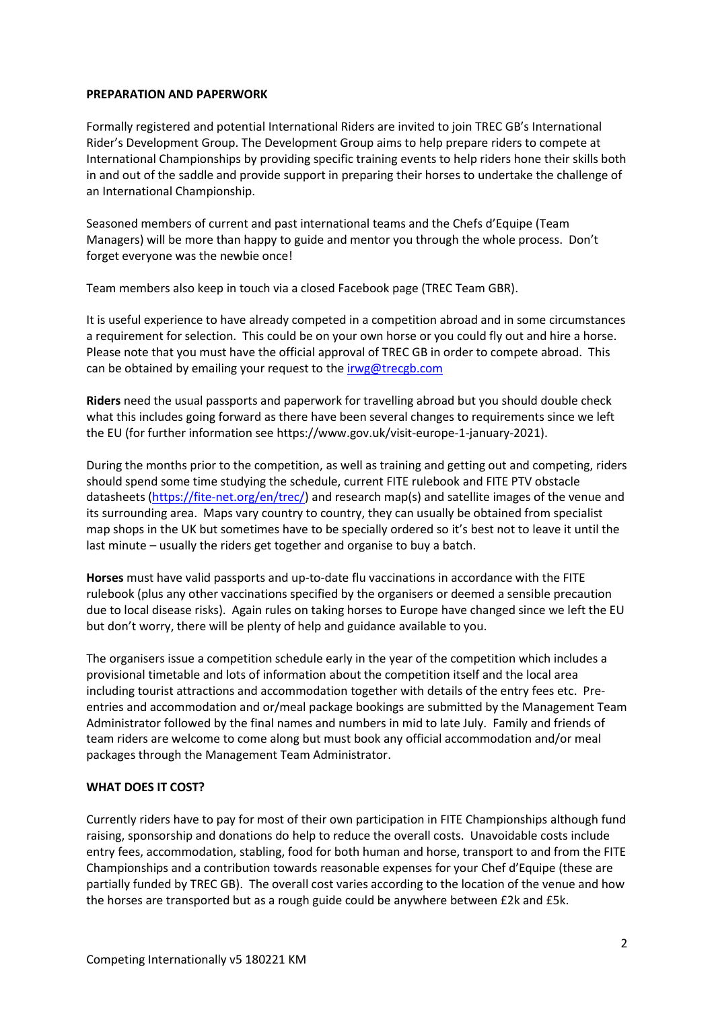#### **PREPARATION AND PAPERWORK**

Formally registered and potential International Riders are invited to join TREC GB's International Rider's Development Group. The Development Group aims to help prepare riders to compete at International Championships by providing specific training events to help riders hone their skills both in and out of the saddle and provide support in preparing their horses to undertake the challenge of an International Championship.

Seasoned members of current and past international teams and the Chefs d'Equipe (Team Managers) will be more than happy to guide and mentor you through the whole process. Don't forget everyone was the newbie once!

Team members also keep in touch via a closed Facebook page (TREC Team GBR).

It is useful experience to have already competed in a competition abroad and in some circumstances a requirement for selection. This could be on your own horse or you could fly out and hire a horse. Please note that you must have the official approval of TREC GB in order to compete abroad. This can be obtained by emailing your request to th[e irwg@trecgb.com](mailto:irwg@trecgb.com) 

**Riders** need the usual passports and paperwork for travelling abroad but you should double check what this includes going forward as there have been several changes to requirements since we left the EU (for further information see https://www.gov.uk/visit-europe-1-january-2021).

During the months prior to the competition, as well as training and getting out and competing, riders should spend some time studying the schedule, current FITE rulebook and FITE PTV obstacle datasheets [\(https://fite-net.org/en/trec/\)](https://fite-net.org/en/trec/) and research map(s) and satellite images of the venue and its surrounding area. Maps vary country to country, they can usually be obtained from specialist map shops in the UK but sometimes have to be specially ordered so it's best not to leave it until the last minute – usually the riders get together and organise to buy a batch.

**Horses** must have valid passports and up-to-date flu vaccinations in accordance with the FITE rulebook (plus any other vaccinations specified by the organisers or deemed a sensible precaution due to local disease risks). Again rules on taking horses to Europe have changed since we left the EU but don't worry, there will be plenty of help and guidance available to you.

The organisers issue a competition schedule early in the year of the competition which includes a provisional timetable and lots of information about the competition itself and the local area including tourist attractions and accommodation together with details of the entry fees etc. Preentries and accommodation and or/meal package bookings are submitted by the Management Team Administrator followed by the final names and numbers in mid to late July. Family and friends of team riders are welcome to come along but must book any official accommodation and/or meal packages through the Management Team Administrator.

# **WHAT DOES IT COST?**

Currently riders have to pay for most of their own participation in FITE Championships although fund raising, sponsorship and donations do help to reduce the overall costs. Unavoidable costs include entry fees, accommodation, stabling, food for both human and horse, transport to and from the FITE Championships and a contribution towards reasonable expenses for your Chef d'Equipe (these are partially funded by TREC GB). The overall cost varies according to the location of the venue and how the horses are transported but as a rough guide could be anywhere between £2k and £5k.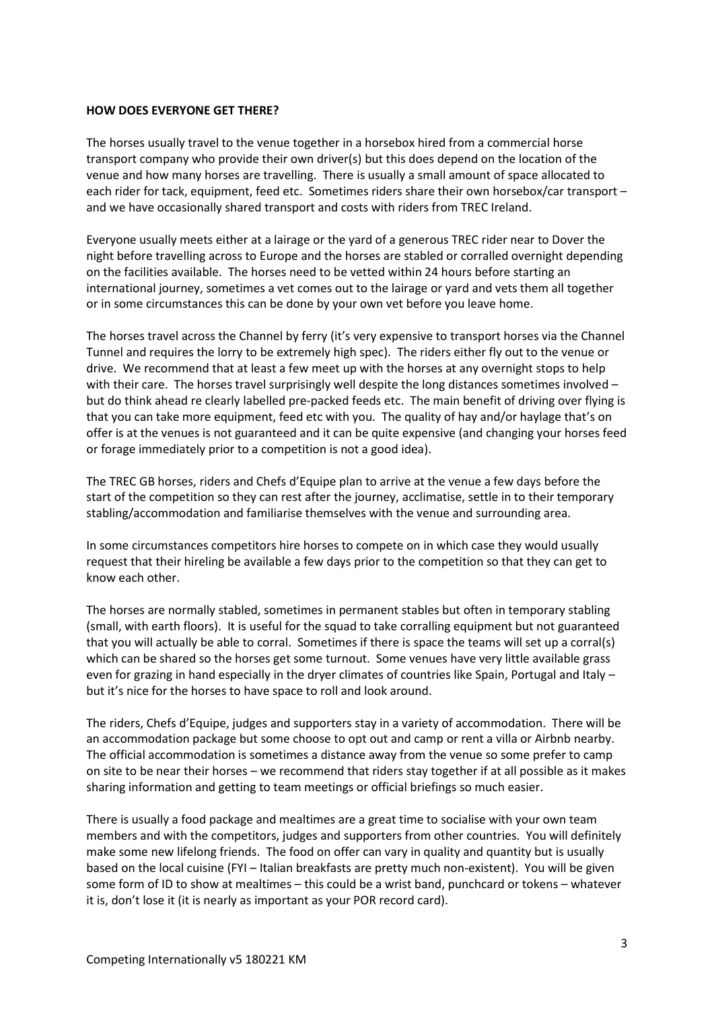#### **HOW DOES EVERYONE GET THERE?**

The horses usually travel to the venue together in a horsebox hired from a commercial horse transport company who provide their own driver(s) but this does depend on the location of the venue and how many horses are travelling. There is usually a small amount of space allocated to each rider for tack, equipment, feed etc. Sometimes riders share their own horsebox/car transport – and we have occasionally shared transport and costs with riders from TREC Ireland.

Everyone usually meets either at a lairage or the yard of a generous TREC rider near to Dover the night before travelling across to Europe and the horses are stabled or corralled overnight depending on the facilities available. The horses need to be vetted within 24 hours before starting an international journey, sometimes a vet comes out to the lairage or yard and vets them all together or in some circumstances this can be done by your own vet before you leave home.

The horses travel across the Channel by ferry (it's very expensive to transport horses via the Channel Tunnel and requires the lorry to be extremely high spec). The riders either fly out to the venue or drive. We recommend that at least a few meet up with the horses at any overnight stops to help with their care. The horses travel surprisingly well despite the long distances sometimes involved but do think ahead re clearly labelled pre-packed feeds etc. The main benefit of driving over flying is that you can take more equipment, feed etc with you. The quality of hay and/or haylage that's on offer is at the venues is not guaranteed and it can be quite expensive (and changing your horses feed or forage immediately prior to a competition is not a good idea).

The TREC GB horses, riders and Chefs d'Equipe plan to arrive at the venue a few days before the start of the competition so they can rest after the journey, acclimatise, settle in to their temporary stabling/accommodation and familiarise themselves with the venue and surrounding area.

In some circumstances competitors hire horses to compete on in which case they would usually request that their hireling be available a few days prior to the competition so that they can get to know each other.

The horses are normally stabled, sometimes in permanent stables but often in temporary stabling (small, with earth floors). It is useful for the squad to take corralling equipment but not guaranteed that you will actually be able to corral. Sometimes if there is space the teams will set up a corral(s) which can be shared so the horses get some turnout. Some venues have very little available grass even for grazing in hand especially in the dryer climates of countries like Spain, Portugal and Italy but it's nice for the horses to have space to roll and look around.

The riders, Chefs d'Equipe, judges and supporters stay in a variety of accommodation. There will be an accommodation package but some choose to opt out and camp or rent a villa or Airbnb nearby. The official accommodation is sometimes a distance away from the venue so some prefer to camp on site to be near their horses – we recommend that riders stay together if at all possible as it makes sharing information and getting to team meetings or official briefings so much easier.

There is usually a food package and mealtimes are a great time to socialise with your own team members and with the competitors, judges and supporters from other countries. You will definitely make some new lifelong friends. The food on offer can vary in quality and quantity but is usually based on the local cuisine (FYI – Italian breakfasts are pretty much non-existent). You will be given some form of ID to show at mealtimes – this could be a wrist band, punchcard or tokens – whatever it is, don't lose it (it is nearly as important as your POR record card).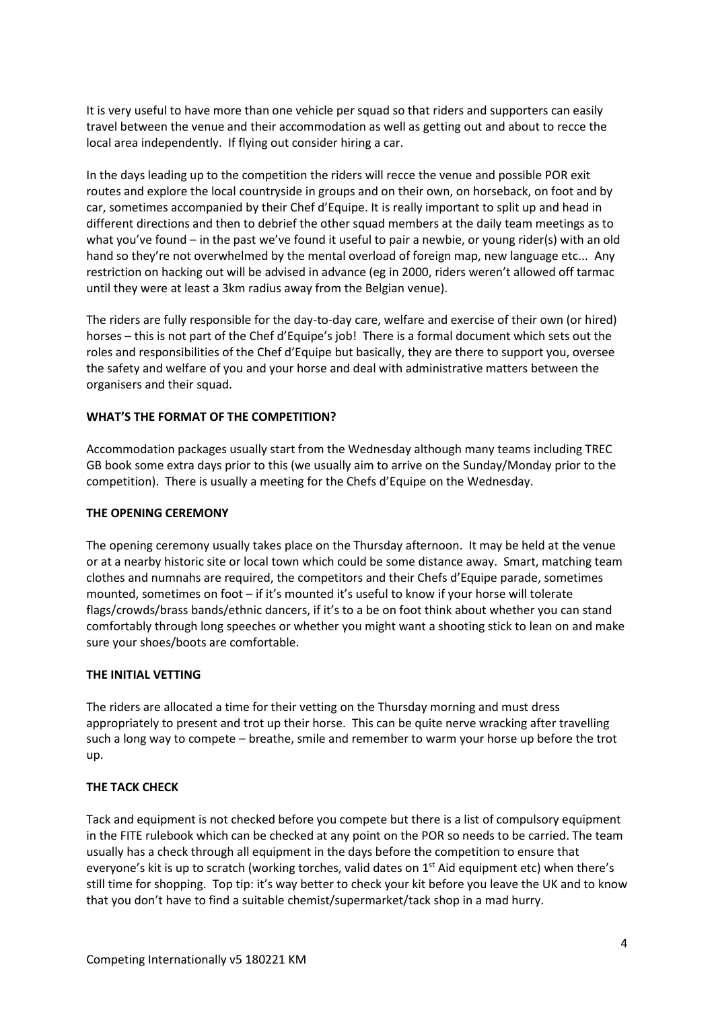It is very useful to have more than one vehicle per squad so that riders and supporters can easily travel between the venue and their accommodation as well as getting out and about to recce the local area independently. If flying out consider hiring a car.

In the days leading up to the competition the riders will recce the venue and possible POR exit routes and explore the local countryside in groups and on their own, on horseback, on foot and by car, sometimes accompanied by their Chef d'Equipe. It is really important to split up and head in different directions and then to debrief the other squad members at the daily team meetings as to what you've found – in the past we've found it useful to pair a newbie, or young rider(s) with an old hand so they're not overwhelmed by the mental overload of foreign map, new language etc... Any restriction on hacking out will be advised in advance (eg in 2000, riders weren't allowed off tarmac until they were at least a 3km radius away from the Belgian venue).

The riders are fully responsible for the day-to-day care, welfare and exercise of their own (or hired) horses – this is not part of the Chef d'Equipe's job! There is a formal document which sets out the roles and responsibilities of the Chef d'Equipe but basically, they are there to support you, oversee the safety and welfare of you and your horse and deal with administrative matters between the organisers and their squad.

# **WHAT'S THE FORMAT OF THE COMPETITION?**

Accommodation packages usually start from the Wednesday although many teams including TREC GB book some extra days prior to this (we usually aim to arrive on the Sunday/Monday prior to the competition). There is usually a meeting for the Chefs d'Equipe on the Wednesday.

# **THE OPENING CEREMONY**

The opening ceremony usually takes place on the Thursday afternoon. It may be held at the venue or at a nearby historic site or local town which could be some distance away. Smart, matching team clothes and numnahs are required, the competitors and their Chefs d'Equipe parade, sometimes mounted, sometimes on foot – if it's mounted it's useful to know if your horse will tolerate flags/crowds/brass bands/ethnic dancers, if it's to a be on foot think about whether you can stand comfortably through long speeches or whether you might want a shooting stick to lean on and make sure your shoes/boots are comfortable.

# **THE INITIAL VETTING**

The riders are allocated a time for their vetting on the Thursday morning and must dress appropriately to present and trot up their horse. This can be quite nerve wracking after travelling such a long way to compete – breathe, smile and remember to warm your horse up before the trot up.

# **THE TACK CHECK**

Tack and equipment is not checked before you compete but there is a list of compulsory equipment in the FITE rulebook which can be checked at any point on the POR so needs to be carried. The team usually has a check through all equipment in the days before the competition to ensure that everyone's kit is up to scratch (working torches, valid dates on  $1<sup>st</sup>$  Aid equipment etc) when there's still time for shopping. Top tip: it's way better to check your kit before you leave the UK and to know that you don't have to find a suitable chemist/supermarket/tack shop in a mad hurry.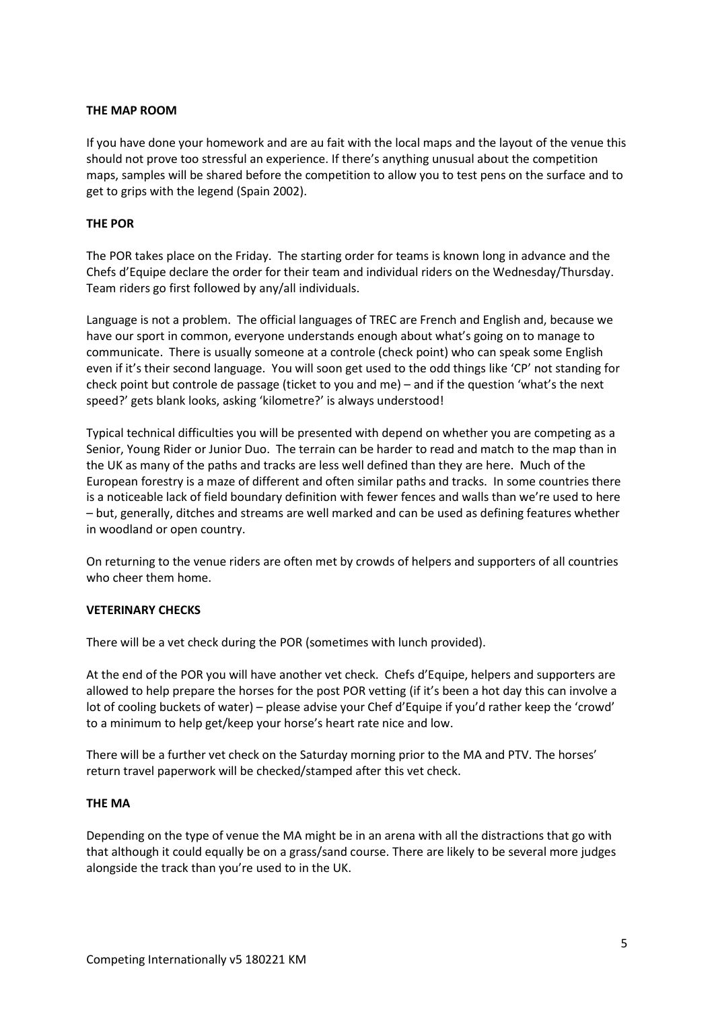# **THE MAP ROOM**

If you have done your homework and are au fait with the local maps and the layout of the venue this should not prove too stressful an experience. If there's anything unusual about the competition maps, samples will be shared before the competition to allow you to test pens on the surface and to get to grips with the legend (Spain 2002).

# **THE POR**

The POR takes place on the Friday. The starting order for teams is known long in advance and the Chefs d'Equipe declare the order for their team and individual riders on the Wednesday/Thursday. Team riders go first followed by any/all individuals.

Language is not a problem. The official languages of TREC are French and English and, because we have our sport in common, everyone understands enough about what's going on to manage to communicate. There is usually someone at a controle (check point) who can speak some English even if it's their second language. You will soon get used to the odd things like 'CP' not standing for check point but controle de passage (ticket to you and me) – and if the question 'what's the next speed?' gets blank looks, asking 'kilometre?' is always understood!

Typical technical difficulties you will be presented with depend on whether you are competing as a Senior, Young Rider or Junior Duo. The terrain can be harder to read and match to the map than in the UK as many of the paths and tracks are less well defined than they are here. Much of the European forestry is a maze of different and often similar paths and tracks. In some countries there is a noticeable lack of field boundary definition with fewer fences and walls than we're used to here – but, generally, ditches and streams are well marked and can be used as defining features whether in woodland or open country.

On returning to the venue riders are often met by crowds of helpers and supporters of all countries who cheer them home.

# **VETERINARY CHECKS**

There will be a vet check during the POR (sometimes with lunch provided).

At the end of the POR you will have another vet check. Chefs d'Equipe, helpers and supporters are allowed to help prepare the horses for the post POR vetting (if it's been a hot day this can involve a lot of cooling buckets of water) – please advise your Chef d'Equipe if you'd rather keep the 'crowd' to a minimum to help get/keep your horse's heart rate nice and low.

There will be a further vet check on the Saturday morning prior to the MA and PTV. The horses' return travel paperwork will be checked/stamped after this vet check.

# **THE MA**

Depending on the type of venue the MA might be in an arena with all the distractions that go with that although it could equally be on a grass/sand course. There are likely to be several more judges alongside the track than you're used to in the UK.